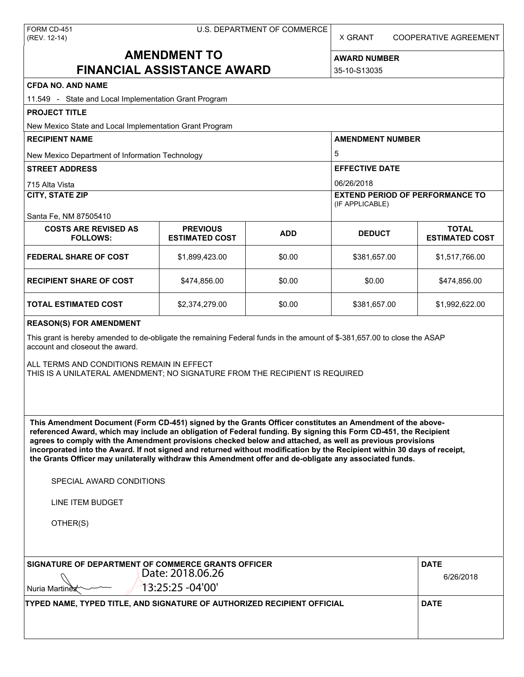X GRANT COOPERATIVE AGREEMENT

## **AMENDMENT TO FINANCIAL ASSISTANCE AWARD**

**AWARD NUMBER** 35-10-S13035

# **CFDA NO. AND NAME**

| CFDA NO. AND NAME<br>11.549 - State and Local Implementation Grant Program                                                                                                                                                                                                                                                                                                                                                                                                                                                                                                                                                                    |                                          |            |                                                           |                                       |  |  |
|-----------------------------------------------------------------------------------------------------------------------------------------------------------------------------------------------------------------------------------------------------------------------------------------------------------------------------------------------------------------------------------------------------------------------------------------------------------------------------------------------------------------------------------------------------------------------------------------------------------------------------------------------|------------------------------------------|------------|-----------------------------------------------------------|---------------------------------------|--|--|
| <b>PROJECT TITLE</b>                                                                                                                                                                                                                                                                                                                                                                                                                                                                                                                                                                                                                          |                                          |            |                                                           |                                       |  |  |
| New Mexico State and Local Implementation Grant Program                                                                                                                                                                                                                                                                                                                                                                                                                                                                                                                                                                                       |                                          |            |                                                           |                                       |  |  |
| <b>RECIPIENT NAME</b>                                                                                                                                                                                                                                                                                                                                                                                                                                                                                                                                                                                                                         |                                          |            | <b>AMENDMENT NUMBER</b>                                   |                                       |  |  |
| New Mexico Department of Information Technology                                                                                                                                                                                                                                                                                                                                                                                                                                                                                                                                                                                               |                                          |            | 5                                                         |                                       |  |  |
| <b>STREET ADDRESS</b>                                                                                                                                                                                                                                                                                                                                                                                                                                                                                                                                                                                                                         |                                          |            | <b>EFFECTIVE DATE</b><br>06/26/2018                       |                                       |  |  |
| 715 Alta Vista                                                                                                                                                                                                                                                                                                                                                                                                                                                                                                                                                                                                                                |                                          |            |                                                           |                                       |  |  |
| <b>CITY, STATE ZIP</b>                                                                                                                                                                                                                                                                                                                                                                                                                                                                                                                                                                                                                        |                                          |            | <b>EXTEND PERIOD OF PERFORMANCE TO</b><br>(IF APPLICABLE) |                                       |  |  |
| Santa Fe, NM 87505410                                                                                                                                                                                                                                                                                                                                                                                                                                                                                                                                                                                                                         |                                          |            |                                                           |                                       |  |  |
| <b>COSTS ARE REVISED AS</b><br><b>FOLLOWS:</b>                                                                                                                                                                                                                                                                                                                                                                                                                                                                                                                                                                                                | <b>PREVIOUS</b><br><b>ESTIMATED COST</b> | <b>ADD</b> | <b>DEDUCT</b>                                             | <b>TOTAL</b><br><b>ESTIMATED COST</b> |  |  |
| <b>FEDERAL SHARE OF COST</b>                                                                                                                                                                                                                                                                                                                                                                                                                                                                                                                                                                                                                  | \$1,899,423.00                           | \$0.00     | \$381,657.00                                              | \$1,517,766.00                        |  |  |
| <b>RECIPIENT SHARE OF COST</b>                                                                                                                                                                                                                                                                                                                                                                                                                                                                                                                                                                                                                | \$474,856.00                             | \$0.00     | \$0.00                                                    | \$474,856.00                          |  |  |
| <b>TOTAL ESTIMATED COST</b>                                                                                                                                                                                                                                                                                                                                                                                                                                                                                                                                                                                                                   | \$2,374,279.00                           | \$0.00     | \$381,657.00                                              | \$1,992,622.00                        |  |  |
| <b>REASON(S) FOR AMENDMENT</b><br>This grant is hereby amended to de-obligate the remaining Federal funds in the amount of \$-381,657.00 to close the ASAP<br>account and closeout the award.<br>ALL TERMS AND CONDITIONS REMAIN IN EFFECT<br>THIS IS A UNILATERAL AMENDMENT; NO SIGNATURE FROM THE RECIPIENT IS REQUIRED                                                                                                                                                                                                                                                                                                                     |                                          |            |                                                           |                                       |  |  |
| This Amendment Document (Form CD-451) signed by the Grants Officer constitutes an Amendment of the above-<br>referenced Award, which may include an obligation of Federal funding. By signing this Form CD-451, the Recipient<br>agrees to comply with the Amendment provisions checked below and attached, as well as previous provisions<br>incorporated into the Award. If not signed and returned without modification by the Recipient within 30 days of receipt,<br>the Grants Officer may unilaterally withdraw this Amendment offer and de-obligate any associated funds.<br>SPECIAL AWARD CONDITIONS<br>LINE ITEM BUDGET<br>OTHER(S) |                                          |            |                                                           |                                       |  |  |
| SIGNATURE OF DEPARTMENT OF COMMERCE GRANTS OFFICER<br>Nuria Martinez                                                                                                                                                                                                                                                                                                                                                                                                                                                                                                                                                                          | Date: 2018.06.26<br>13:25:25 - 04'00'    |            |                                                           | <b>DATE</b><br>6/26/2018              |  |  |
| TYPED NAME, TYPED TITLE, AND SIGNATURE OF AUTHORIZED RECIPIENT OFFICIAL                                                                                                                                                                                                                                                                                                                                                                                                                                                                                                                                                                       |                                          |            |                                                           | <b>DATE</b>                           |  |  |